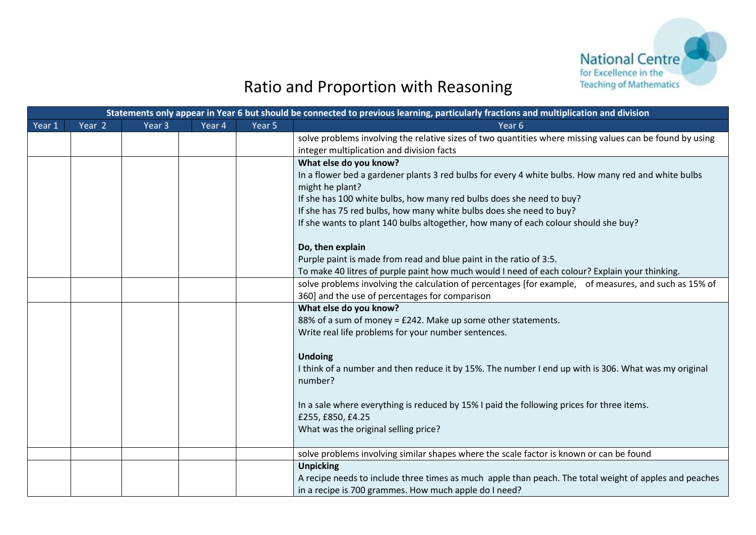

## Ratio and Proportion with Reasoning

| Statements only appear in Year 6 but should be connected to previous learning, particularly fractions and multiplication and division |                   |                   |        |        |                                                                                                                        |  |  |  |
|---------------------------------------------------------------------------------------------------------------------------------------|-------------------|-------------------|--------|--------|------------------------------------------------------------------------------------------------------------------------|--|--|--|
| Year 1                                                                                                                                | Year <sub>2</sub> | Year <sub>3</sub> | Year 4 | Year 5 | Year <sub>6</sub>                                                                                                      |  |  |  |
|                                                                                                                                       |                   |                   |        |        | solve problems involving the relative sizes of two quantities where missing values can be found by using               |  |  |  |
|                                                                                                                                       |                   |                   |        |        | integer multiplication and division facts                                                                              |  |  |  |
|                                                                                                                                       |                   |                   |        |        | What else do you know?                                                                                                 |  |  |  |
|                                                                                                                                       |                   |                   |        |        | In a flower bed a gardener plants 3 red bulbs for every 4 white bulbs. How many red and white bulbs<br>might he plant? |  |  |  |
|                                                                                                                                       |                   |                   |        |        | If she has 100 white bulbs, how many red bulbs does she need to buy?                                                   |  |  |  |
|                                                                                                                                       |                   |                   |        |        | If she has 75 red bulbs, how many white bulbs does she need to buy?                                                    |  |  |  |
|                                                                                                                                       |                   |                   |        |        | If she wants to plant 140 bulbs altogether, how many of each colour should she buy?                                    |  |  |  |
|                                                                                                                                       |                   |                   |        |        | Do, then explain                                                                                                       |  |  |  |
|                                                                                                                                       |                   |                   |        |        | Purple paint is made from read and blue paint in the ratio of 3:5.                                                     |  |  |  |
|                                                                                                                                       |                   |                   |        |        | To make 40 litres of purple paint how much would I need of each colour? Explain your thinking.                         |  |  |  |
|                                                                                                                                       |                   |                   |        |        | solve problems involving the calculation of percentages [for example, of measures, and such as 15% of                  |  |  |  |
|                                                                                                                                       |                   |                   |        |        | 360] and the use of percentages for comparison                                                                         |  |  |  |
|                                                                                                                                       |                   |                   |        |        | What else do you know?                                                                                                 |  |  |  |
|                                                                                                                                       |                   |                   |        |        | 88% of a sum of money = £242. Make up some other statements.                                                           |  |  |  |
|                                                                                                                                       |                   |                   |        |        | Write real life problems for your number sentences.                                                                    |  |  |  |
|                                                                                                                                       |                   |                   |        |        | <b>Undoing</b>                                                                                                         |  |  |  |
|                                                                                                                                       |                   |                   |        |        | I think of a number and then reduce it by 15%. The number I end up with is 306. What was my original                   |  |  |  |
|                                                                                                                                       |                   |                   |        |        | number?                                                                                                                |  |  |  |
|                                                                                                                                       |                   |                   |        |        |                                                                                                                        |  |  |  |
|                                                                                                                                       |                   |                   |        |        | In a sale where everything is reduced by 15% I paid the following prices for three items.                              |  |  |  |
|                                                                                                                                       |                   |                   |        |        | £255, £850, £4.25                                                                                                      |  |  |  |
|                                                                                                                                       |                   |                   |        |        | What was the original selling price?                                                                                   |  |  |  |
|                                                                                                                                       |                   |                   |        |        | solve problems involving similar shapes where the scale factor is known or can be found                                |  |  |  |
|                                                                                                                                       |                   |                   |        |        | <b>Unpicking</b>                                                                                                       |  |  |  |
|                                                                                                                                       |                   |                   |        |        | A recipe needs to include three times as much apple than peach. The total weight of apples and peaches                 |  |  |  |
|                                                                                                                                       |                   |                   |        |        | in a recipe is 700 grammes. How much apple do I need?                                                                  |  |  |  |